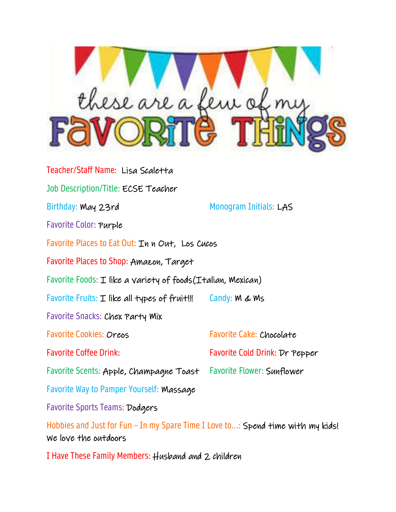

Teacher/Staff Name: Lisa Scaletta Job Description/Title: ECSE Teacher Birthday: May 23rd Monogram Initials: LAS Favorite Color: Purple Favorite Places to Eat Out: In n Out, Los Cucos Favorite Places to Shop: Amazon, Target Favorite Foods:  $I$  like a variety of foods( $I$ talian, Mexican) Favorite Fruits:  $I$  like all types of fruit!!! Candy:  $M \& Ms$ Favorite Snacks: Chex Party Mix Favorite Cookies: Oreos Favorite Cake: Chocolate Favorite Coffee Drink: Favorite Cold Drink: Dr Pepper Favorite Scents: Apple, Champagne Toast Favorite Flower: Sunflower Favorite Way to Pamper Yourself: Massage Favorite Sports Teams: Dodgers Hobbies and Just for Fun - In my Spare Time I Love to...: Spend time with my kids! We love the outdoors

I Have These Family Members: Husband and 2 children